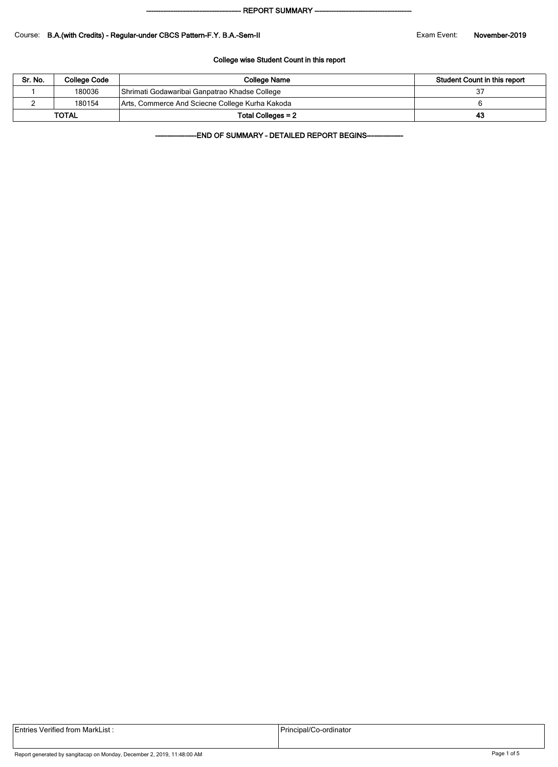#### - REPORT SUMMARY --

#### Course: B.A.(with Credits) - Regular-under CBCS Pattern-F.Y. B.A.-Sem-II **Exam Exam Event:** November-2019

#### College wise Student Count in this report

| Sr. No. | College Code | <b>College Name</b>                             | Student Count in this report |
|---------|--------------|-------------------------------------------------|------------------------------|
|         | 180036       | Shrimati Godawaribai Ganpatrao Khadse College   |                              |
|         | 180154       | Arts, Commerce And Sciecne College Kurha Kakoda |                              |
|         | <b>TOTAL</b> | Total Colleges = 2                              | 43                           |

-END OF SUMMARY - DETAILED REPORT BEGINS-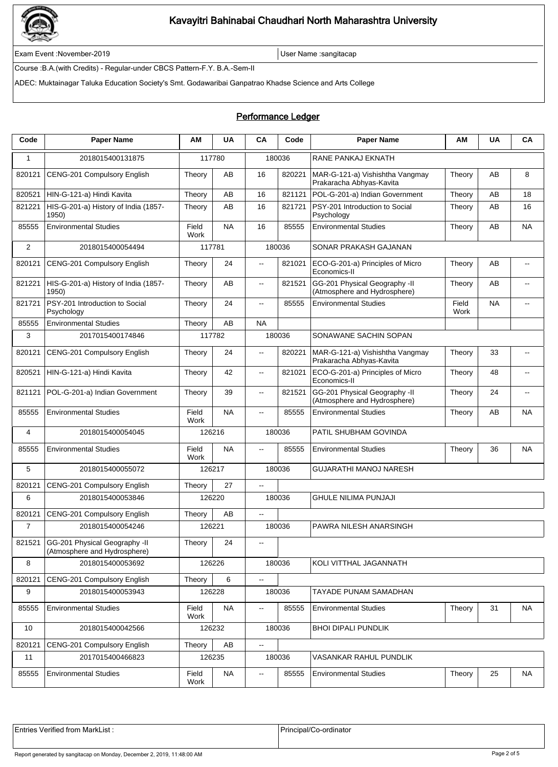

Exam Event :November-2019 **Exam Event :November-2019** User Name :sangitacap

Course :B.A.(with Credits) - Regular-under CBCS Pattern-F.Y. B.A.-Sem-II

ADEC: Muktainagar Taluka Education Society's Smt. Godawaribai Ganpatrao Khadse Science and Arts College

## Performance Ledger

| Code           | <b>Paper Name</b>                                             | ΑM            | <b>UA</b> | CA                       | Code   | <b>Paper Name</b>                                             | ΑM            | <b>UA</b> | CA             |  |
|----------------|---------------------------------------------------------------|---------------|-----------|--------------------------|--------|---------------------------------------------------------------|---------------|-----------|----------------|--|
| 1              | 2018015400131875                                              |               | 117780    |                          | 180036 | RANE PANKAJ EKNATH                                            |               |           |                |  |
| 820121         | CENG-201 Compulsory English                                   | Theory        | AB        | 16                       | 820221 | MAR-G-121-a) Vishishtha Vangmay<br>Prakaracha Abhyas-Kavita   | Theory        | AB        | 8              |  |
| 820521         | HIN-G-121-a) Hindi Kavita                                     | Theory        | AB        | 16                       | 821121 | POL-G-201-a) Indian Government                                | Theory        | AВ        | 18             |  |
| 821221         | HIS-G-201-a) History of India (1857-<br>1950)                 | Theory        | AB        | 16                       | 821721 | PSY-201 Introduction to Social<br>Psychology                  | Theory        | AВ        | 16             |  |
| 85555          | <b>Environmental Studies</b>                                  | Field<br>Work | <b>NA</b> | 16                       | 85555  | <b>Environmental Studies</b>                                  | Theory        | AB        | <b>NA</b>      |  |
| $\overline{2}$ | 2018015400054494                                              | 117781        |           | 180036                   |        | SONAR PRAKASH GAJANAN                                         |               |           |                |  |
| 820121         | CENG-201 Compulsory English                                   | Theory        | 24        | $\ddotsc$                | 821021 | ECO-G-201-a) Principles of Micro<br>Economics-II              | Theory        | AB        | $\overline{a}$ |  |
| 821221         | HIS-G-201-a) History of India (1857-<br>1950)                 | Theory        | AB        | $\overline{\phantom{a}}$ | 821521 | GG-201 Physical Geography -II<br>(Atmosphere and Hydrosphere) | Theory        | AB        | $\overline{a}$ |  |
| 821721         | PSY-201 Introduction to Social<br>Psychology                  | Theory        | 24        | $\overline{\phantom{a}}$ | 85555  | <b>Environmental Studies</b>                                  | Field<br>Work | <b>NA</b> |                |  |
| 85555          | <b>Environmental Studies</b>                                  | Theory        | AB        | <b>NA</b>                |        |                                                               |               |           |                |  |
| 3              | 2017015400174846                                              |               | 117782    |                          | 180036 | SONAWANE SACHIN SOPAN                                         |               |           |                |  |
| 820121         | CENG-201 Compulsory English                                   | Theory        | 24        | $\sim$                   | 820221 | MAR-G-121-a) Vishishtha Vangmay<br>Prakaracha Abhyas-Kavita   | Theory        | 33        | $\overline{a}$ |  |
| 820521         | HIN-G-121-a) Hindi Kavita                                     | Theory        | 42        | $\overline{\phantom{a}}$ | 821021 | ECO-G-201-a) Principles of Micro<br>Economics-II              | Theory        | 48        | $-$            |  |
| 821121         | POL-G-201-a) Indian Government                                | Theory        | 39        | $\overline{\phantom{a}}$ | 821521 | GG-201 Physical Geography -II<br>(Atmosphere and Hydrosphere) | Theory        | 24        | $\overline{a}$ |  |
| 85555          | <b>Environmental Studies</b>                                  | Field<br>Work | <b>NA</b> | $\overline{\phantom{a}}$ | 85555  | <b>Environmental Studies</b>                                  | Theory        | AB        | <b>NA</b>      |  |
| 4              | 2018015400054045                                              | 126216        |           | 180036                   |        | PATIL SHUBHAM GOVINDA                                         |               |           |                |  |
| 85555          | <b>Environmental Studies</b>                                  | Field<br>Work | NA.       | $\mathbf{u}$             | 85555  | <b>Environmental Studies</b>                                  | Theory        | 36        | <b>NA</b>      |  |
| 5              | 2018015400055072                                              |               | 126217    |                          | 180036 | <b>GUJARATHI MANOJ NARESH</b>                                 |               |           |                |  |
| 820121         | CENG-201 Compulsory English                                   | Theory        | 27        | $\overline{\phantom{a}}$ |        |                                                               |               |           |                |  |
| 6              | 2018015400053846                                              |               | 126220    |                          | 180036 | <b>GHULE NILIMA PUNJAJI</b>                                   |               |           |                |  |
| 820121         | CENG-201 Compulsory English                                   | Theory        | AB        | $\sim$                   |        |                                                               |               |           |                |  |
| $\overline{7}$ | 2018015400054246                                              | 126221        |           |                          | 180036 | PAWRA NILESH ANARSINGH                                        |               |           |                |  |
| 821521         | GG-201 Physical Geography -II<br>(Atmosphere and Hydrosphere) | Theory        | 24        | $\sim$ $\sim$            |        |                                                               |               |           |                |  |
| 8              | 2018015400053692                                              |               | 126226    |                          | 180036 | KOLI VITTHAL JAGANNATH                                        |               |           |                |  |
| 820121         | CENG-201 Compulsory English                                   | Theory        | 6         | ц,                       |        |                                                               |               |           |                |  |
| 9              | 2018015400053943                                              |               | 126228    |                          | 180036 | TAYADE PUNAM SAMADHAN                                         |               |           |                |  |
| 85555          | <b>Environmental Studies</b>                                  | Field<br>Work | <b>NA</b> | $\overline{\phantom{a}}$ | 85555  | <b>Environmental Studies</b>                                  | Theory        | 31        | NA             |  |
| 10             | 2018015400042566                                              |               | 126232    |                          | 180036 | <b>BHOI DIPALI PUNDLIK</b>                                    |               |           |                |  |
| 820121         | CENG-201 Compulsory English                                   | Theory        | AB        | $\overline{\phantom{a}}$ |        |                                                               |               |           |                |  |
| 11             | 2017015400466823                                              |               | 126235    | 180036                   |        | VASANKAR RAHUL PUNDLIK                                        |               |           |                |  |
| 85555          | <b>Environmental Studies</b>                                  | Field<br>Work | NA        | $\overline{\phantom{a}}$ | 85555  | <b>Environmental Studies</b>                                  | Theory        | 25        | <b>NA</b>      |  |

Entries Verified from MarkList : <br>
Principal/Co-ordinator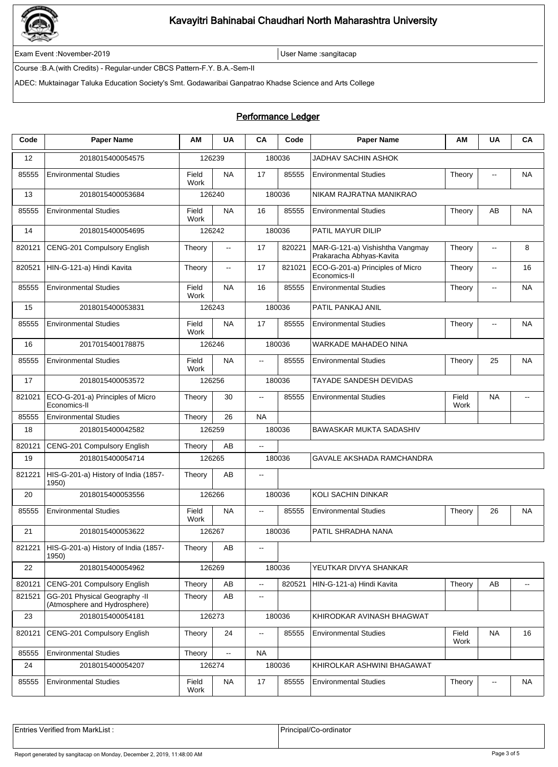

Exam Event :November-2019 **Exam Event :November-2019** User Name :sangitacap

Course :B.A.(with Credits) - Regular-under CBCS Pattern-F.Y. B.A.-Sem-II

ADEC: Muktainagar Taluka Education Society's Smt. Godawaribai Ganpatrao Khadse Science and Arts College

## Performance Ledger

| Code   | <b>Paper Name</b>                                             | AМ            | <b>UA</b>                | CA                       | Code   | <b>Paper Name</b>                                           | AМ            | UA                       | <b>CA</b> |  |
|--------|---------------------------------------------------------------|---------------|--------------------------|--------------------------|--------|-------------------------------------------------------------|---------------|--------------------------|-----------|--|
| 12     | 2018015400054575                                              |               | 126239                   |                          | 180036 | JADHAV SACHIN ASHOK                                         |               |                          |           |  |
| 85555  | <b>Environmental Studies</b>                                  | Field<br>Work | <b>NA</b>                | 17                       | 85555  | <b>Environmental Studies</b>                                | Theory        | $\overline{\phantom{a}}$ | <b>NA</b> |  |
| 13     | 2018015400053684                                              | 126240        |                          | 180036                   |        | NIKAM RAJRATNA MANIKRAO                                     |               |                          |           |  |
| 85555  | <b>Environmental Studies</b>                                  | Field<br>Work | NA                       | 16                       | 85555  | <b>Environmental Studies</b>                                | Theory        | AВ                       | <b>NA</b> |  |
| 14     | 2018015400054695                                              | 126242        |                          |                          | 180036 | PATIL MAYUR DILIP                                           |               |                          |           |  |
| 820121 | CENG-201 Compulsory English                                   | Theory        | $\sim$                   | 17                       | 820221 | MAR-G-121-a) Vishishtha Vangmay<br>Prakaracha Abhyas-Kavita | Theory        | $\overline{\phantom{a}}$ | 8         |  |
| 820521 | HIN-G-121-a) Hindi Kavita                                     | Theory        | $\overline{\phantom{a}}$ | 17                       | 821021 | ECO-G-201-a) Principles of Micro<br>Economics-II            | Theory        | $\overline{\phantom{a}}$ | 16        |  |
| 85555  | <b>Environmental Studies</b>                                  | Field<br>Work | <b>NA</b>                | 16                       | 85555  | <b>Environmental Studies</b>                                | Theory        | $\overline{a}$           | <b>NA</b> |  |
| 15     | 2018015400053831                                              |               | 126243                   |                          | 180036 | PATIL PANKAJ ANIL                                           |               |                          |           |  |
| 85555  | <b>Environmental Studies</b>                                  | Field<br>Work | <b>NA</b>                | 17                       | 85555  | <b>Environmental Studies</b>                                | Theory        | $\overline{\phantom{a}}$ | <b>NA</b> |  |
| 16     | 2017015400178875                                              |               | 126246                   |                          | 180036 | <b>WARKADE MAHADEO NINA</b>                                 |               |                          |           |  |
| 85555  | <b>Environmental Studies</b>                                  | Field<br>Work | <b>NA</b>                | $\overline{\phantom{a}}$ | 85555  | <b>Environmental Studies</b>                                | Theory        | 25                       | <b>NA</b> |  |
| 17     | 2018015400053572                                              |               | 126256                   |                          | 180036 | TAYADE SANDESH DEVIDAS                                      |               |                          |           |  |
| 821021 | ECO-G-201-a) Principles of Micro<br>Economics-II              | Theory        | 30                       | --                       | 85555  | <b>Environmental Studies</b>                                | Field<br>Work | NA                       | --        |  |
| 85555  | <b>Environmental Studies</b>                                  | Theory        | 26                       | <b>NA</b>                |        |                                                             |               |                          |           |  |
| 18     | 2018015400042582                                              |               | 126259                   |                          | 180036 | <b>BAWASKAR MUKTA SADASHIV</b>                              |               |                          |           |  |
| 820121 | CENG-201 Compulsory English                                   | Theory        | AB                       | Ξ.                       |        |                                                             |               |                          |           |  |
| 19     | 2018015400054714                                              |               | 126265                   |                          | 180036 | <b>GAVALE AKSHADA RAMCHANDRA</b>                            |               |                          |           |  |
| 821221 | HIS-G-201-a) History of India (1857-<br>1950)                 | Theory        | AB                       | $\overline{\phantom{a}}$ |        |                                                             |               |                          |           |  |
| 20     | 2018015400053556                                              |               | 126266                   |                          | 180036 | KOLI SACHIN DINKAR                                          |               |                          |           |  |
| 85555  | <b>Environmental Studies</b>                                  | Field<br>Work | <b>NA</b>                | μ.                       | 85555  | <b>Environmental Studies</b>                                | Theory        | 26                       | <b>NA</b> |  |
| 21     | 2018015400053622                                              |               | 126267                   |                          | 180036 | PATIL SHRADHA NANA                                          |               |                          |           |  |
| 821221 | HIS-G-201-a) History of India (1857-<br>1950)                 | Theory        | AB                       | $- -$                    |        |                                                             |               |                          |           |  |
| 22     | 2018015400054962                                              | 126269        |                          | 180036                   |        | YEUTKAR DIVYA SHANKAR                                       |               |                          |           |  |
| 820121 | CENG-201 Compulsory English                                   | Theory        | AB                       | ц,                       | 820521 | HIN-G-121-a) Hindi Kavita                                   | Theory        | AB                       | --        |  |
| 821521 | GG-201 Physical Geography -II<br>(Atmosphere and Hydrosphere) | Theory        | AВ                       | ц,                       |        |                                                             |               |                          |           |  |
| 23     | 2018015400054181                                              |               | 126273                   | 180036                   |        | KHIRODKAR AVINASH BHAGWAT                                   |               |                          |           |  |
| 820121 | CENG-201 Compulsory English                                   | Theory        | 24                       | --                       | 85555  | <b>Environmental Studies</b>                                | Field<br>Work | NA                       | 16        |  |
| 85555  | <b>Environmental Studies</b>                                  | Theory        | $\overline{\phantom{a}}$ | <b>NA</b>                |        |                                                             |               |                          |           |  |
| 24     | 2018015400054207                                              |               | 126274                   |                          | 180036 | KHIROLKAR ASHWINI BHAGAWAT                                  |               |                          |           |  |
| 85555  | <b>Environmental Studies</b>                                  | Field<br>Work | <b>NA</b>                | 17                       | 85555  | <b>Environmental Studies</b>                                | Theory        | $\overline{\phantom{a}}$ | <b>NA</b> |  |

Entries Verified from MarkList : <br>
Principal/Co-ordinator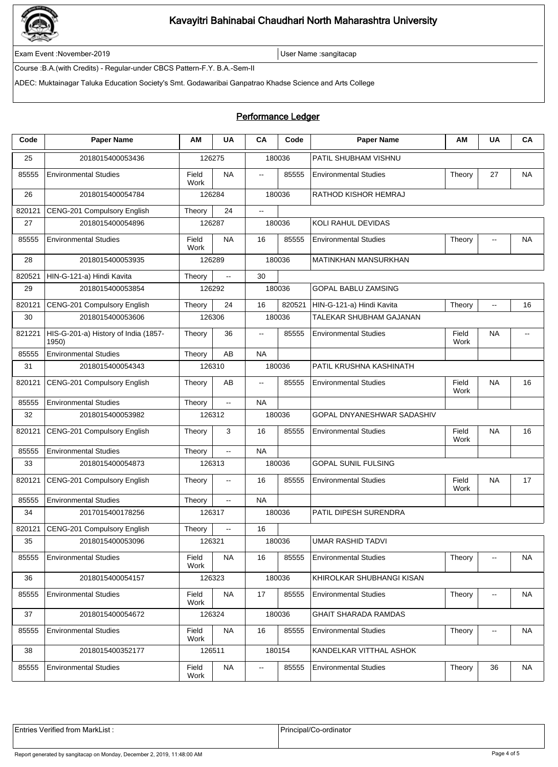

Exam Event :November-2019 **Exam Event :November-2019** User Name :sangitacap

Course :B.A.(with Credits) - Regular-under CBCS Pattern-F.Y. B.A.-Sem-II

ADEC: Muktainagar Taluka Education Society's Smt. Godawaribai Ganpatrao Khadse Science and Arts College

## Performance Ledger

| Code   | <b>Paper Name</b>                             | ΑM            | <b>UA</b>                | CA                       | Code   | <b>Paper Name</b>            | ΑM            | <b>UA</b>                   | CA        |  |
|--------|-----------------------------------------------|---------------|--------------------------|--------------------------|--------|------------------------------|---------------|-----------------------------|-----------|--|
| 25     | 2018015400053436                              | 126275        |                          | 180036                   |        | PATIL SHUBHAM VISHNU         |               |                             |           |  |
| 85555  | <b>Environmental Studies</b>                  | Field<br>Work | <b>NA</b>                | $\overline{\phantom{a}}$ | 85555  | <b>Environmental Studies</b> | Theory        | 27                          | <b>NA</b> |  |
| 26     | 2018015400054784                              | 126284        |                          | 180036                   |        | RATHOD KISHOR HEMRAJ         |               |                             |           |  |
| 820121 | CENG-201 Compulsory English                   | 24<br>Theory  |                          | $\ddotsc$                |        |                              |               |                             |           |  |
| 27     | 2018015400054896                              | 126287        |                          | 180036                   |        | KOLI RAHUL DEVIDAS           |               |                             |           |  |
| 85555  | <b>Environmental Studies</b>                  | Field<br>Work | <b>NA</b>                | 16                       | 85555  | <b>Environmental Studies</b> | Theory        | $\mathcal{L}_{\mathcal{F}}$ | <b>NA</b> |  |
| 28     | 2018015400053935                              | 126289        |                          | 180036                   |        | MATINKHAN MANSURKHAN         |               |                             |           |  |
| 820521 | HIN-G-121-a) Hindi Kavita                     | Theory        | $\Box$                   | 30                       |        |                              |               |                             |           |  |
| 29     | 2018015400053854                              |               | 126292                   | 180036                   |        | <b>GOPAL BABLU ZAMSING</b>   |               |                             |           |  |
| 820121 | CENG-201 Compulsory English                   | Theory        | 24                       | 16                       | 820521 | HIN-G-121-a) Hindi Kavita    | Theory        | $\overline{\phantom{a}}$    | 16        |  |
| 30     | 2018015400053606                              |               | 126306                   |                          | 180036 | TALEKAR SHUBHAM GAJANAN      |               |                             |           |  |
| 821221 | HIS-G-201-a) History of India (1857-<br>1950) | Theory        | 36                       | $\overline{a}$           | 85555  | <b>Environmental Studies</b> | Field<br>Work | <b>NA</b>                   |           |  |
| 85555  | <b>Environmental Studies</b>                  | Theory        | AB                       | <b>NA</b>                |        |                              |               |                             |           |  |
| 31     | 2018015400054343                              | 126310        |                          | 180036                   |        | PATIL KRUSHNA KASHINATH      |               |                             |           |  |
| 820121 | CENG-201 Compulsory English                   | Theory        | AB                       | $\ddotsc$                | 85555  | <b>Environmental Studies</b> | Field<br>Work | <b>NA</b>                   | 16        |  |
| 85555  | <b>Environmental Studies</b>                  | Theory        | $\overline{\phantom{a}}$ | <b>NA</b>                |        |                              |               |                             |           |  |
| 32     | 2018015400053982                              | 126312        |                          | 180036                   |        | GOPAL DNYANESHWAR SADASHIV   |               |                             |           |  |
| 820121 | CENG-201 Compulsory English                   | Theory        | 3                        | 16                       | 85555  | <b>Environmental Studies</b> | Field<br>Work | <b>NA</b>                   | 16        |  |
| 85555  | <b>Environmental Studies</b>                  | Theory        | $\mathbb{Z}^2$           | <b>NA</b>                |        |                              |               |                             |           |  |
| 33     | 2018015400054873                              |               | 126313                   |                          | 180036 | <b>GOPAL SUNIL FULSING</b>   |               |                             |           |  |
| 820121 | CENG-201 Compulsory English                   | Theory        | $\sim$                   | 16                       | 85555  | <b>Environmental Studies</b> | Field<br>Work | NA                          | 17        |  |
| 85555  | <b>Environmental Studies</b>                  | Theory        | Ξ.                       | <b>NA</b>                |        |                              |               |                             |           |  |
| 34     | 2017015400178256                              | 126317        |                          |                          | 180036 | PATIL DIPESH SURENDRA        |               |                             |           |  |
| 820121 | CENG-201 Compulsory English                   | Theory        | $\overline{\phantom{a}}$ | 16                       |        |                              |               |                             |           |  |
| 35     | 2018015400053096                              |               | 126321                   | 180036                   |        | UMAR RASHID TADVI            |               |                             |           |  |
| 85555  | <b>Environmental Studies</b>                  | Field<br>Work | <b>NA</b>                | 16                       | 85555  | <b>Environmental Studies</b> | Theory        | --                          | NA        |  |
| 36     | 2018015400054157                              |               | 126323                   |                          | 180036 | KHIROLKAR SHUBHANGI KISAN    |               |                             |           |  |
| 85555  | <b>Environmental Studies</b>                  | Field<br>Work | NA                       | 17                       | 85555  | <b>Environmental Studies</b> | Theory        | $\overline{\phantom{a}}$    | NA        |  |
| 37     | 2018015400054672                              |               | 126324                   | 180036                   |        | <b>GHAIT SHARADA RAMDAS</b>  |               |                             |           |  |
| 85555  | <b>Environmental Studies</b>                  | Field<br>Work | NA                       | 16                       | 85555  | <b>Environmental Studies</b> | Theory        | ⊷                           | NA        |  |
| 38     | 2018015400352177                              |               | 126511                   | 180154                   |        | KANDELKAR VITTHAL ASHOK      |               |                             |           |  |
| 85555  | <b>Environmental Studies</b>                  | Field<br>Work | <b>NA</b>                | $\overline{\phantom{a}}$ | 85555  | <b>Environmental Studies</b> | Theory        | 36                          | NA        |  |

Entries Verified from MarkList : <br>
Principal/Co-ordinator